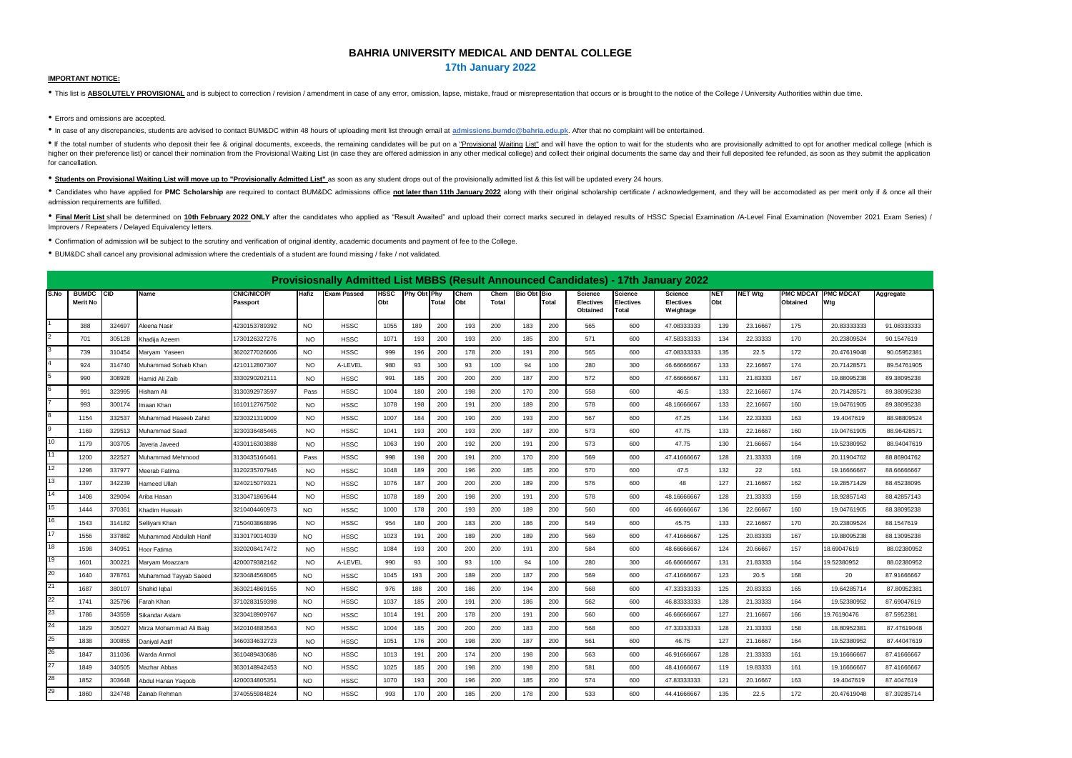## **BAHRIA UNIVERSITY MEDICAL AND DENTAL COLLEGE**

**17th January 2022**

## **IMPORTANT NOTICE:**

. This list is ABSOLUTELY PROVISIONAL and is subject to correction / revision / amendment in case of any error, omission, lapse, mistake, fraud or misrepresentation that occurs or is brought to the notice of the College /

• Errors and omissions are accepted.

• In case of any discrepancies, students are advised to contact BUM&DC within 48 hours of uploading merit list through email at **admissions.bumdc@bahria.edu.pk**. After that no complaint will be entertained.

. If the total number of students who deposit their fee & original documents, exceeds, the remaining candidates will be put on a "Provisional Waiting List" and will have the option to wait for the students who are provisio higher on their preference list) or cancel their nomination from the Provisional Waiting List (in case they are offered admission in any other medical college) and collect their original documents the same day and their fu for cancellation.

• **Students on Provisional Waiting List will move up to "Provisionally Admitted List"** as soon as any student drops out of the provisionally admitted list & this list will be updated every 24 hours.

. Candidates who have applied for PMC Scholarship are required to contact BUM&DC admissions office not later than 11th January 2022 along with their original scholarship certificate / acknowledgement, and they will be acco admission requirements are fulfilled.

. Final Merit List shall be determined on 10th February 2022 ONLY after the candidates who applied as "Result Awaited" and upload their correct marks secured in delayed results of HSSC Special Examination /A-Level Final Ex Improvers / Repeaters / Delayed Equivalency letters.

• Confirmation of admission will be subject to the scrutiny and verification of original identity, academic documents and payment of fee to the College.

• BUM&DC shall cancel any provisional admission where the credentials of a student are found missing / fake / not validated.

|                         | Provisiosnally Admitted List MBBS (Result Announced Candidates) - 17th January 2022<br>CNIC/NICOP/<br><b>HSSC</b><br><b>NET Wtg</b><br><b>PMC MDCAT</b><br><b>PMC MDCAT</b><br><b>BUMDC</b><br><b>CID</b><br>Name<br>Hafiz<br><b>Exam Passed</b><br>Phy Obt Phy<br>Chem<br>Chem<br><b>Bio Obt Bio</b><br><b>NET</b><br><b>Science</b><br>Science<br>Science<br>Aggregate<br>Obt<br><b>Merit No</b><br>Obt<br>Total<br>Obt<br><b>Total</b><br>Total<br>Electives<br><b>Electives</b><br>Obtained<br>Wtg<br>Passport<br><b>Electives</b> |        |                         |               |           |             |      |     |     |     |     |     |     |          |       |             |     |          |     |             |             |
|-------------------------|----------------------------------------------------------------------------------------------------------------------------------------------------------------------------------------------------------------------------------------------------------------------------------------------------------------------------------------------------------------------------------------------------------------------------------------------------------------------------------------------------------------------------------------|--------|-------------------------|---------------|-----------|-------------|------|-----|-----|-----|-----|-----|-----|----------|-------|-------------|-----|----------|-----|-------------|-------------|
| S.No                    |                                                                                                                                                                                                                                                                                                                                                                                                                                                                                                                                        |        |                         |               |           |             |      |     |     |     |     |     |     | Obtained | Total | Weightage   |     |          |     |             |             |
|                         | 388                                                                                                                                                                                                                                                                                                                                                                                                                                                                                                                                    | 324697 | Aleena Nasir            | 4230153789392 | <b>NO</b> | <b>HSSC</b> | 1055 | 189 | 200 | 193 | 200 | 183 | 200 | 565      | 600   | 47.08333333 | 139 | 23.16667 | 175 | 20.83333333 | 91.08333333 |
| $\overline{2}$          | 701                                                                                                                                                                                                                                                                                                                                                                                                                                                                                                                                    | 305128 | Khadiia Azeem           | 1730126327276 | <b>NO</b> | <b>HSSC</b> | 1071 | 193 | 200 | 193 | 200 | 185 | 200 | 571      | 600   | 47.58333333 | 134 | 22.33333 | 170 | 20.23809524 | 90.1547619  |
| $\overline{3}$          | 739                                                                                                                                                                                                                                                                                                                                                                                                                                                                                                                                    | 310454 | Marvam Yaseen           | 3620277026606 | NO.       | <b>HSSC</b> | 999  | 196 | 200 | 178 | 200 | 191 | 200 | 565      | 600   | 47.08333333 | 135 | 22.5     | 172 | 20.47619048 | 90.05952381 |
|                         | 924                                                                                                                                                                                                                                                                                                                                                                                                                                                                                                                                    | 314740 | Muhammad Sohaib Khan    | 4210112807307 | <b>NO</b> | A-LEVEL     | 980  | 93  | 100 | 93  | 100 | 94  | 100 | 280      | 300   | 46.66666667 | 133 | 22.16667 | 174 | 20.71428571 | 89.54761905 |
| 5                       | 990                                                                                                                                                                                                                                                                                                                                                                                                                                                                                                                                    | 308928 | Hamid Ali Zaib          | 3330290202111 | <b>NO</b> | <b>HSSC</b> | 991  | 185 | 200 | 200 | 200 | 187 | 200 | 572      | 600   | 47.66666667 | 131 | 21.83333 | 167 | 19.88095238 | 89.38095238 |
| 6                       | 991                                                                                                                                                                                                                                                                                                                                                                                                                                                                                                                                    | 323995 | Hisham Ali              | 3130392973597 | Pass      | <b>HSSC</b> | 1004 | 180 | 200 | 198 | 200 | 170 | 200 | 558      | 600   | 46.5        | 133 | 22.16667 | 174 | 20.71428571 | 89.38095238 |
|                         | 993                                                                                                                                                                                                                                                                                                                                                                                                                                                                                                                                    | 300174 | Imaan Khan              | 1610112767502 | <b>NO</b> | <b>HSSC</b> | 1078 | 198 | 200 | 191 | 200 | 189 | 200 | 578      | 600   | 48.16666667 | 133 | 22.16667 | 160 | 19.04761905 | 89.38095238 |
| $\overline{\mathbf{8}}$ | 1154                                                                                                                                                                                                                                                                                                                                                                                                                                                                                                                                   | 332537 | Muhammad Haseeb Zahid   | 3230321319009 | <b>NO</b> | <b>HSSC</b> | 1007 | 184 | 200 | 190 | 200 | 193 | 200 | 567      | 600   | 47.25       | 134 | 22.33333 | 163 | 19.4047619  | 88.98809524 |
| 9                       | 1169                                                                                                                                                                                                                                                                                                                                                                                                                                                                                                                                   | 329513 | Muhammad Saad           | 3230336485465 | <b>NO</b> | <b>HSSC</b> | 1041 | 193 | 200 | 193 | 200 | 187 | 200 | 573      | 600   | 47.75       | 133 | 22.16667 | 160 | 19.04761905 | 88.96428571 |
| 10                      | 1179                                                                                                                                                                                                                                                                                                                                                                                                                                                                                                                                   | 303705 | Javeria Javeed          | 4330116303888 | <b>NO</b> | <b>HSSC</b> | 1063 | 190 | 200 | 192 | 200 | 191 | 200 | 573      | 600   | 47.75       | 130 | 21.66667 | 164 | 19.52380952 | 88.94047619 |
| 11                      | 1200                                                                                                                                                                                                                                                                                                                                                                                                                                                                                                                                   | 322527 | Muhammad Mehmood        | 3130435166461 | Pass      | <b>HSSC</b> | 998  | 198 | 200 | 191 | 200 | 170 | 200 | 569      | 600   | 47.41666667 | 128 | 21.33333 | 169 | 20.11904762 | 88.86904762 |
| 12                      | 1298                                                                                                                                                                                                                                                                                                                                                                                                                                                                                                                                   | 337977 | Meerab Fatima           | 3120235707946 | NO.       | <b>HSSC</b> | 1048 | 189 | 200 | 196 | 200 | 185 | 200 | 570      | 600   | 47.5        | 132 | 22       | 161 | 19.16666667 | 88.66666667 |
| 13                      | 1397                                                                                                                                                                                                                                                                                                                                                                                                                                                                                                                                   | 342239 | Hameed Ullah            | 3240215079321 | <b>NO</b> | <b>HSSC</b> | 1076 | 187 | 200 | 200 | 200 | 189 | 200 | 576      | 600   | 48          | 127 | 21.16667 | 162 | 19.28571429 | 88.45238095 |
| 14                      | 1408                                                                                                                                                                                                                                                                                                                                                                                                                                                                                                                                   | 329094 | Ariba Hasan             | 3130471869644 | <b>NO</b> | <b>HSSC</b> | 1078 | 189 | 200 | 198 | 200 | 191 | 200 | 578      | 600   | 48.16666667 | 128 | 21.33333 | 159 | 18.92857143 | 88.42857143 |
| 15                      | 1444                                                                                                                                                                                                                                                                                                                                                                                                                                                                                                                                   | 370361 | Khadim Hussain          | 3210404460973 | <b>NO</b> | <b>HSSC</b> | 1000 | 178 | 200 | 193 | 200 | 189 | 200 | 560      | 600   | 46.66666667 | 136 | 22.66667 | 160 | 19.04761905 | 88.38095238 |
| 16                      | 1543                                                                                                                                                                                                                                                                                                                                                                                                                                                                                                                                   | 314182 | Sellivani Khan          | 7150403868896 | <b>NO</b> | <b>HSSC</b> | 954  | 180 | 200 | 183 | 200 | 186 | 200 | 549      | 600   | 45.75       | 133 | 22.16667 | 170 | 20.23809524 | 88.1547619  |
| 17                      | 1556                                                                                                                                                                                                                                                                                                                                                                                                                                                                                                                                   | 337882 | Muhammad Abdullah Hanif | 3130179014039 | NO.       | <b>HSSC</b> | 1023 | 191 | 200 | 189 | 200 | 189 | 200 | 569      | 600   | 47.41666667 | 125 | 20.83333 | 167 | 19.88095238 | 88.13095238 |
| 18                      | 1598                                                                                                                                                                                                                                                                                                                                                                                                                                                                                                                                   | 340951 | Hoor Fatima             | 3320208417472 | <b>NO</b> | <b>HSSC</b> | 1084 | 193 | 200 | 200 | 200 | 191 | 200 | 584      | 600   | 48.66666667 | 124 | 20.66667 | 157 | 18.69047619 | 88.02380952 |
| 19                      | 1601                                                                                                                                                                                                                                                                                                                                                                                                                                                                                                                                   | 300221 | Maryam Moazzam          | 4200079382162 | <b>NO</b> | A-LEVEL     | 990  | 93  | 100 | 93  | 100 | 94  | 100 | 280      | 300   | 46.66666667 | 131 | 21.83333 | 164 | 19.52380952 | 88.02380952 |
| 20                      | 1640                                                                                                                                                                                                                                                                                                                                                                                                                                                                                                                                   | 378761 | Muhammad Tayyab Saeed   | 3230484568065 | NO.       | <b>HSSC</b> | 1045 | 193 | 200 | 189 | 200 | 187 | 200 | 569      | 600   | 47.41666667 | 123 | 20.5     | 168 | 20          | 87.91666667 |
| 21                      | 1687                                                                                                                                                                                                                                                                                                                                                                                                                                                                                                                                   | 380107 | Shahid lobal            | 3630214869155 | <b>NO</b> | <b>HSSC</b> | 976  | 188 | 200 | 186 | 200 | 194 | 200 | 568      | 600   | 47.33333333 | 125 | 20.83333 | 165 | 19.64285714 | 87.80952381 |
| 22                      | 1741                                                                                                                                                                                                                                                                                                                                                                                                                                                                                                                                   | 325796 | Farah Khan              | 3710283159398 | NO.       | <b>HSSC</b> | 1037 | 185 | 200 | 191 | 200 | 186 | 200 | 562      | 600   | 46.83333333 | 128 | 21.33333 | 164 | 19.52380952 | 87.69047619 |
| 23                      | 1786                                                                                                                                                                                                                                                                                                                                                                                                                                                                                                                                   | 343559 | Sikandar Aslam          | 3230418909767 | <b>NO</b> | <b>HSSC</b> | 1014 | 191 | 200 | 178 | 200 | 191 | 200 | 560      | 600   | 46.66666667 | 127 | 21.16667 | 166 | 19.76190476 | 87.5952381  |
| 24                      | 1829                                                                                                                                                                                                                                                                                                                                                                                                                                                                                                                                   | 305027 | Mirza Mohammad Ali Baig | 3420104883563 | <b>NO</b> | <b>HSSC</b> | 1004 | 185 | 200 | 200 | 200 | 183 | 200 | 568      | 600   | 47.33333333 | 128 | 21.33333 | 158 | 18.80952381 | 87.47619048 |
| 25                      | 1838                                                                                                                                                                                                                                                                                                                                                                                                                                                                                                                                   | 300855 | <b>Danival Aatif</b>    | 3460334632723 | <b>NO</b> | <b>HSSC</b> | 1051 | 176 | 200 | 198 | 200 | 187 | 200 | 561      | 600   | 46.75       | 127 | 21.16667 | 164 | 19.52380952 | 87.44047619 |
| 26                      | 1847                                                                                                                                                                                                                                                                                                                                                                                                                                                                                                                                   | 311036 | Warda Anmol             | 3610489430686 | <b>NO</b> | <b>HSSC</b> | 1013 | 191 | 200 | 174 | 200 | 198 | 200 | 563      | 600   | 46.91666667 | 128 | 21.33333 | 161 | 19.16666667 | 87.41666667 |
| 27                      | 1849                                                                                                                                                                                                                                                                                                                                                                                                                                                                                                                                   | 340505 | Mazhar Abbas            | 3630148942453 | <b>NO</b> | <b>HSSC</b> | 1025 | 185 | 200 | 198 | 200 | 198 | 200 | 581      | 600   | 48.41666667 | 119 | 19.83333 | 161 | 19.16666667 | 87.41666667 |
| 28                      | 1852                                                                                                                                                                                                                                                                                                                                                                                                                                                                                                                                   | 303648 | Abdul Hanan Yaqoob      | 4200034805351 | NO.       | <b>HSSC</b> | 1070 | 193 | 200 | 196 | 200 | 185 | 200 | 574      | 600   | 47.83333333 | 121 | 20.16667 | 163 | 19.4047619  | 87.4047619  |
| 29                      | 1860                                                                                                                                                                                                                                                                                                                                                                                                                                                                                                                                   | 324748 | Zainab Rehman           | 3740555984824 | <b>NO</b> | <b>HSSC</b> | 993  | 170 | 200 | 185 | 200 | 178 | 200 | 533      | 600   | 44.41666667 | 135 | 22.5     | 172 | 20.47619048 | 87.39285714 |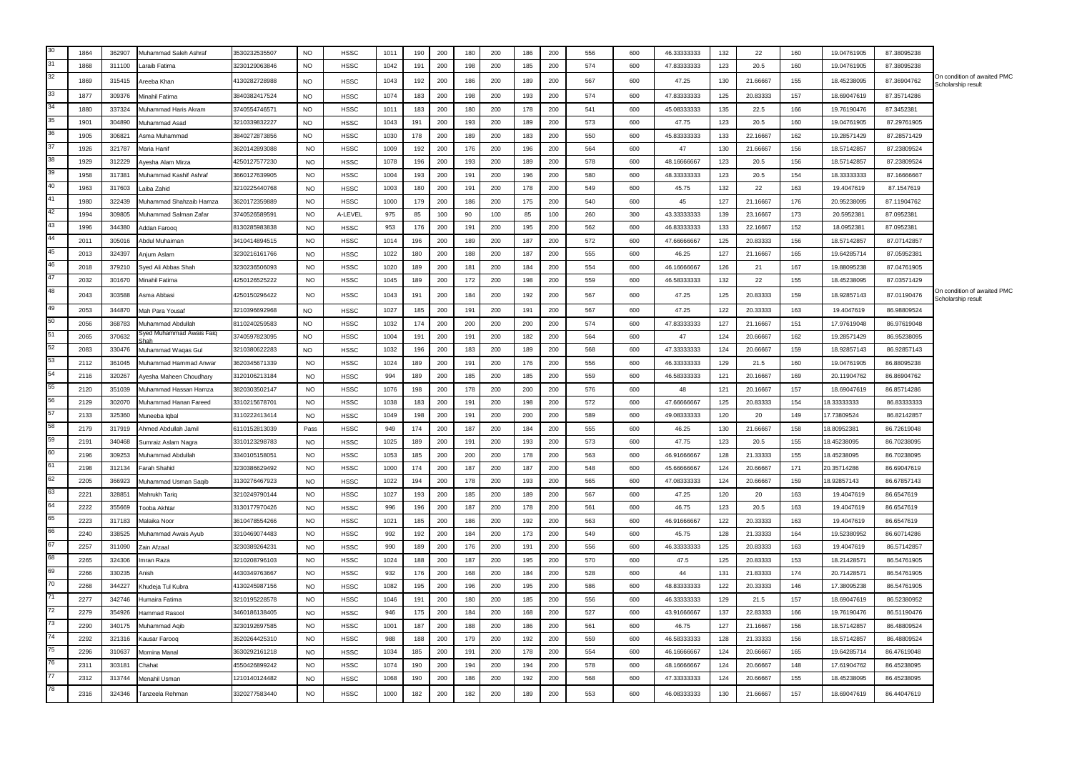|          | 1864 | 362907 | Muhammad Saleh Ashraf                         | 3530232535507 | N <sub>O</sub> | <b>HSSC</b> | 1011 | 190 | 200 | 180 | 200 | 186 | 200 | 556 | 600 | 46.33333333 | 132 | 22       | 160 | 19.04761905 | 87.38095238 |                                                   |
|----------|------|--------|-----------------------------------------------|---------------|----------------|-------------|------|-----|-----|-----|-----|-----|-----|-----|-----|-------------|-----|----------|-----|-------------|-------------|---------------------------------------------------|
| 31       | 1868 | 311100 | araib Fatima                                  | 3230129063846 | NO.            | <b>HSSC</b> | 1042 | 191 | 200 | 198 | 200 | 185 | 200 | 574 | 600 | 47.83333333 | 123 | 20.5     | 160 | 19.04761905 | 87.38095238 |                                                   |
| 32       | 1869 | 315415 | reeba Khan                                    | 4130282728988 | <b>NO</b>      | <b>HSSC</b> | 1043 | 192 | 200 | 186 | 200 | 189 | 200 | 567 | 600 | 47.25       | 130 | 21.66667 | 155 | 18.45238095 | 87.36904762 | On condition of awaited PMC<br>Scholarship result |
|          | 1877 | 309376 | Minahil Fatima                                | 3840382417524 | <b>NO</b>      | <b>HSSC</b> | 1074 | 183 | 200 | 198 | 200 | 193 | 200 | 574 | 600 | 47.83333333 | 125 | 20.83333 | 157 | 18.69047619 | 87.35714286 |                                                   |
|          | 1880 | 337324 | Muhammad Haris Akram                          | 3740554746571 | <b>NO</b>      | <b>HSSC</b> | 1011 | 183 | 200 | 180 | 200 | 178 | 200 | 541 | 600 | 45.08333333 | 135 | 22.5     | 166 | 19.76190476 | 87.3452381  |                                                   |
|          | 1901 | 304890 | Muhammad Asad                                 | 3210339832227 | NO.            | <b>HSSC</b> | 1043 | 191 | 200 | 193 | 200 | 189 | 200 | 573 | 600 | 47.75       | 123 | 20.5     | 160 | 19.04761905 | 87.29761905 |                                                   |
|          | 1905 | 306821 | Asma Muhammad                                 | 3840272873856 | <b>NO</b>      | <b>HSSC</b> | 1030 | 178 | 200 | 189 | 200 | 183 | 200 | 550 | 600 | 45.83333333 | 133 | 22.16667 | 162 | 19.28571429 | 87.28571429 |                                                   |
|          | 1926 | 321787 | Maria Hanif                                   | 3620142893088 | <b>NO</b>      | <b>HSSC</b> | 1009 | 192 | 200 | 176 | 200 | 196 | 200 | 564 | 600 | 47          | 130 | 21.66667 | 156 | 18.57142857 | 87.23809524 |                                                   |
|          | 1929 | 312229 | Ayesha Alam Mirza                             | 4250127577230 | <b>NO</b>      | <b>HSSC</b> | 1078 | 196 | 200 | 193 | 200 | 189 | 200 | 578 | 600 | 48.16666667 | 123 | 20.5     | 156 | 18.57142857 | 87.23809524 |                                                   |
|          | 1958 | 317381 | Muhammad Kashif Ashraf                        | 3660127639905 | <b>NO</b>      | <b>HSSC</b> | 1004 | 193 | 200 | 191 | 200 | 196 | 200 | 580 | 600 | 48.33333333 | 123 | 20.5     | 154 | 18.33333333 | 87.16666667 |                                                   |
| 40       | 1963 | 317603 | aiba Zahid                                    | 3210225440768 | <b>NO</b>      | <b>HSSC</b> | 1003 | 180 | 200 | 191 | 200 | 178 | 200 | 549 | 600 | 45.75       | 132 | 22       | 163 | 19.4047619  | 87.1547619  |                                                   |
|          | 1980 | 322439 | Muhammad Shahzaib Hamza                       | 3620172359889 | <b>NO</b>      | <b>HSSC</b> | 1000 | 179 | 200 | 186 | 200 | 175 | 200 | 540 | 600 | 45          | 127 | 21.16667 | 176 | 20.95238095 | 87.11904762 |                                                   |
|          | 1994 | 309805 | Muhammad Salman Zafar                         | 3740526589591 | <b>NO</b>      | A-LEVEL     | 975  | 85  | 100 | 90  | 100 | 85  | 100 | 260 | 300 | 43.33333333 | 139 | 23.16667 | 173 | 20.5952381  | 87.0952381  |                                                   |
| 43       | 1996 | 344380 | ddan Faroog                                   | 8130285983838 | <b>NO</b>      | <b>HSSC</b> | 953  | 176 | 200 | 191 | 200 | 195 | 200 | 562 | 600 | 46.83333333 | 133 | 22.16667 | 152 | 18.0952381  | 87.0952381  |                                                   |
|          | 2011 | 305016 | Abdul Muhaiman                                | 3410414894515 | <b>NO</b>      | <b>HSSC</b> | 1014 | 196 | 200 | 189 | 200 | 187 | 200 | 572 | 600 | 47.66666667 | 125 | 20.83333 | 156 | 18.57142857 | 87.07142857 |                                                   |
|          | 2013 | 324397 | Anjum Aslam                                   | 3230216161766 | <b>NO</b>      | <b>HSSC</b> | 1022 | 180 | 200 | 188 | 200 | 187 | 200 | 555 | 600 | 46.25       | 127 | 21.16667 | 165 | 19.64285714 | 87.05952381 |                                                   |
|          | 2018 | 379210 | Sved Ali Abbas Shah                           | 3230236506093 | <b>NO</b>      | <b>HSSC</b> | 1020 | 189 | 200 | 181 | 200 | 184 | 200 | 554 | 600 | 46.16666667 | 126 | 21       | 167 | 19.88095238 | 87.04761905 |                                                   |
|          | 2032 | 301670 | Minahil Fatima                                | 1250126525222 | <b>NO</b>      | <b>HSSC</b> | 1045 | 189 | 200 | 172 | 200 | 198 | 200 | 559 | 600 | 46.58333333 | 132 | 22       | 155 | 18.45238095 | 87.03571429 |                                                   |
|          | 2043 | 303588 | Asma Abbasi                                   | 1250150296422 | <b>NO</b>      | <b>HSSC</b> | 1043 | 191 | 200 | 184 | 200 | 192 | 200 | 567 | 600 | 47.25       | 125 | 20.83333 | 159 | 18.92857143 | 87.01190476 | On condition of awaited PMC                       |
|          | 2053 | 344870 |                                               | 3210396692968 |                |             | 1027 | 185 | 200 | 191 | 200 | 191 | 200 | 567 | 600 | 47.25       | 122 | 20.33333 | 163 | 19.4047619  | 86.98809524 | Scholarship result                                |
|          | 2056 | 368783 | Mah Para Yousaf                               |               | <b>NO</b>      | <b>HSSC</b> | 1032 |     |     |     |     | 200 | 200 |     | 600 |             |     |          |     |             |             |                                                   |
|          |      |        | Muhammad Abdullah<br>Syed Muhammad Awais Faiq | 8110240259583 | <b>NO</b>      | <b>HSSC</b> |      | 174 | 200 | 200 | 200 |     |     | 574 |     | 47.83333333 | 127 | 21.16667 | 151 | 17.97619048 | 86.97619048 |                                                   |
|          | 2065 | 370632 |                                               | 3740597823095 | <b>NO</b>      | <b>HSSC</b> | 1004 | 191 | 200 | 191 | 200 | 182 | 200 | 564 | 600 | 47          | 124 | 20.66667 | 162 | 19.28571429 | 86.95238095 |                                                   |
| 53       | 2083 | 330476 | Muhammad Wagas Gul                            | 3210380622283 | <b>NO</b>      | <b>HSSC</b> | 1032 | 196 | 200 | 183 | 200 | 189 | 200 | 568 | 600 | 47.33333333 | 124 | 20.66667 | 159 | 18.92857143 | 86.92857143 |                                                   |
|          | 2112 | 361045 | Muhammad Hammad Anwar                         | 3620345671339 | <b>NO</b>      | <b>HSSC</b> | 1024 | 189 | 200 | 191 | 200 | 176 | 200 | 556 | 600 | 46.33333333 | 129 | 21.5     | 160 | 19.04761905 | 86.88095238 |                                                   |
| 55       | 2116 | 320267 | Ayesha Maheen Choudhary                       | 3120106213184 | <b>NO</b>      | <b>HSSC</b> | 994  | 189 | 200 | 185 | 200 | 185 | 200 | 559 | 600 | 46.58333333 | 121 | 20.16667 | 169 | 20.11904762 | 86.86904762 |                                                   |
| 56       | 2120 | 351039 | Muhammad Hassan Hamza                         | 3820303502147 | NO             | <b>HSSC</b> | 1076 | 198 | 200 | 178 | 200 | 200 | 200 | 576 | 600 | 48          | 121 | 20.16667 | 157 | 18.69047619 | 86.85714286 |                                                   |
|          | 2129 | 302070 | Muhammad Hanan Fareed                         | 3310215678701 | NO             | <b>HSSC</b> | 1038 | 183 | 200 | 191 | 200 | 198 | 200 | 572 | 600 | 47.66666667 | 125 | 20.83333 | 154 | 8.33333333  | 86.83333333 |                                                   |
| 58       | 2133 | 325360 | Muneeba lobal                                 | 3110222413414 | <b>NO</b>      | <b>HSSC</b> | 1049 | 198 | 200 | 191 | 200 | 200 | 200 | 589 | 600 | 49.08333333 | 120 | 20       | 149 | 17.73809524 | 86.82142857 |                                                   |
| 59       | 2179 | 317919 | Ahmed Abdullah Jamil                          | 6110152813039 | Pass           | <b>HSSC</b> | 949  | 174 | 200 | 187 | 200 | 184 | 200 | 555 | 600 | 46.25       | 130 | 21.66667 | 158 | 18.80952381 | 86.72619048 |                                                   |
| 60       | 2191 | 340468 | Sumraiz Aslam Nagra                           | 3310123298783 | <b>NO</b>      | <b>HSSC</b> | 1025 | 189 | 200 | 191 | 200 | 193 | 200 | 573 | 600 | 47.75       | 123 | 20.5     | 155 | 8.45238095  | 86.70238095 |                                                   |
|          | 2196 | 309253 | Muhammad Abdullah                             | 3340105158051 | <b>NO</b>      | <b>HSSC</b> | 1053 | 185 | 200 | 200 | 200 | 178 | 200 | 563 | 600 | 46.91666667 | 128 | 21.33333 | 155 | 18.45238095 | 86.70238095 |                                                   |
| 62       | 2198 | 312134 | Farah Shahid                                  | 3230386629492 | <b>NO</b>      | <b>HSSC</b> | 1000 | 174 | 200 | 187 | 200 | 187 | 200 | 548 | 600 | 45.66666667 | 124 | 20.66667 | 171 | 20.35714286 | 86.69047619 |                                                   |
|          | 2205 | 366923 | Muhammad Usman Saqib                          | 3130276467923 | <b>NO</b>      | <b>HSSC</b> | 1022 | 194 | 200 | 178 | 200 | 193 | 200 | 565 | 600 | 47.08333333 | 124 | 20.66667 | 159 | 18.92857143 | 86.67857143 |                                                   |
| 63<br>64 | 2221 | 328851 | Mahrukh Tario                                 | 3210249790144 | <b>NO</b>      | <b>HSSC</b> | 1027 | 193 | 200 | 185 | 200 | 189 | 200 | 567 | 600 | 47.25       | 120 | 20       | 163 | 19.4047619  | 86.6547619  |                                                   |
|          | 2222 | 355669 | Tooba Akhtar                                  | 3130177970426 | <b>NO</b>      | <b>HSSC</b> | 996  | 196 | 200 | 187 | 200 | 178 | 200 | 561 | 600 | 46.75       | 123 | 20.5     | 163 | 19.4047619  | 86.6547619  |                                                   |
|          | 2223 | 317183 | Malaika Noor                                  | 3610478554266 | <b>NO</b>      | <b>HSSC</b> | 1021 | 185 | 200 | 186 | 200 | 192 | 200 | 563 | 600 | 46.91666667 | 122 | 20.33333 | 163 | 19.4047619  | 86.6547619  |                                                   |
|          | 2240 | 338525 | Muhammad Awais Ayub                           | 3310469074483 | <b>NO</b>      | <b>HSSC</b> | 992  | 192 | 200 | 184 | 200 | 173 | 200 | 549 | 600 | 45.75       | 128 | 21.33333 | 164 | 19.52380952 | 86.60714286 |                                                   |
|          | 2257 | 311090 | Zain Afzaal                                   | 3230389264231 | <b>NO</b>      | <b>HSSC</b> | 990  | 189 | 200 | 176 | 200 | 191 | 200 | 556 | 600 | 46.33333333 | 125 | 20.83333 | 163 | 19.4047619  | 86.57142857 |                                                   |
|          | 2265 | 324306 | Imran Raza                                    | 3210208796103 | <b>NO</b>      | <b>HSSC</b> | 1024 | 188 | 200 | 187 | 200 | 195 | 200 | 570 | 600 | 47.5        | 125 | 20.83333 | 153 | 18.21428571 | 86.54761905 |                                                   |
| 69       | 2266 | 330235 | Anish                                         | 4430349763667 | <b>NO</b>      | HSSC        | 932  | 176 | 200 | 168 | 200 | 184 | 200 | 528 | 600 | 44          | 131 | 21.83333 | 174 | 20.71428571 | 86.54761905 |                                                   |
| 70       | 2268 | 344227 | Khudeja Tul Kubra                             | 4130245987156 | <b>NO</b>      | <b>HSSC</b> | 1082 | 195 | 200 | 196 | 200 | 195 | 200 | 586 | 600 | 48.83333333 | 122 | 20.33333 | 146 | 17.38095238 | 86.54761905 |                                                   |
|          | 2277 | 342746 | Humaira Fatima                                | 3210195228578 | <b>NO</b>      | <b>HSSC</b> | 1046 | 191 | 200 | 180 | 200 | 185 | 200 | 556 | 600 | 46.33333333 | 129 | 21.5     | 157 | 18.69047619 | 86.52380952 |                                                   |
| 72       | 2279 | 354926 | Hammad Rasool                                 | 3460186138405 | <b>NO</b>      | <b>HSSC</b> | 946  | 175 | 200 | 184 | 200 | 168 | 200 | 527 | 600 | 43.91666667 | 137 | 22.83333 | 166 | 19.76190476 | 86.51190476 |                                                   |
| 73       | 2290 | 340175 | Muhammad Aqib                                 | 3230192697585 | <b>NO</b>      | <b>HSSC</b> | 1001 | 187 | 200 | 188 | 200 | 186 | 200 | 561 | 600 | 46.75       | 127 | 21.16667 | 156 | 18.57142857 | 86.48809524 |                                                   |
| 74       | 2292 | 321316 | Kausar Faroog                                 | 3520264425310 | <b>NO</b>      | <b>HSSC</b> | 988  | 188 | 200 | 179 | 200 | 192 | 200 | 559 | 600 | 46.58333333 | 128 | 21.33333 | 156 | 18.57142857 | 86.48809524 |                                                   |
| 75       | 2296 | 310637 | Momina Manal                                  | 3630292161218 | <b>NO</b>      | <b>HSSC</b> | 1034 | 185 | 200 | 191 | 200 | 178 | 200 | 554 | 600 | 46.16666667 | 124 | 20.66667 | 165 | 19.64285714 | 86.47619048 |                                                   |
| 76       | 2311 | 303181 | Chahat                                        | 4550426899242 | <b>NO</b>      | <b>HSSC</b> | 1074 | 190 | 200 | 194 | 200 | 194 | 200 | 578 | 600 | 48.16666667 | 124 | 20.66667 | 148 | 17.61904762 | 86.45238095 |                                                   |
| 77       | 2312 | 313744 | Menahil Usman                                 | 1210140124482 | <b>NO</b>      | <b>HSSC</b> | 1068 | 190 | 200 | 186 | 200 | 192 | 200 | 568 | 600 | 47.33333333 | 124 | 20.66667 | 155 | 18.45238095 | 86.45238095 |                                                   |
| 78       | 2316 | 324346 | Tanzeela Rehman                               | 3320277583440 | $NO$           | <b>HSSC</b> | 1000 | 182 | 200 | 182 | 200 | 189 | 200 | 553 | 600 | 46.08333333 | 130 | 21.66667 | 157 | 18.69047619 | 86.44047619 |                                                   |
|          |      |        |                                               |               |                |             |      |     |     |     |     |     |     |     |     |             |     |          |     |             |             |                                                   |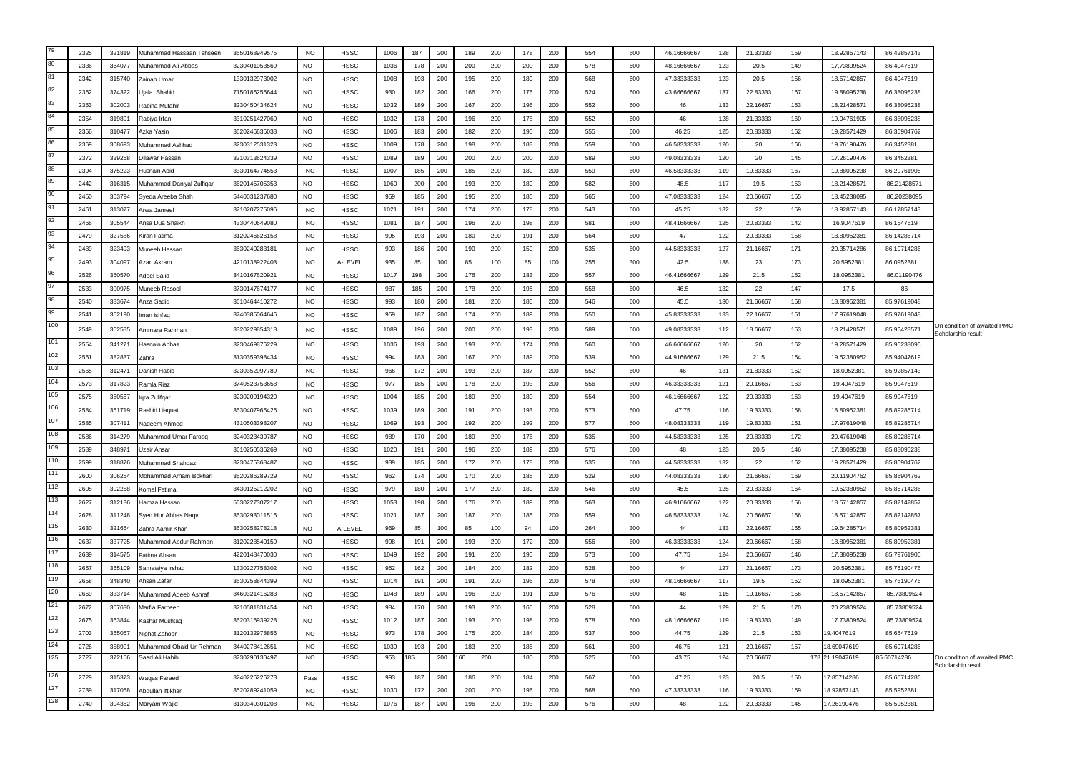| 79  | 2325 | 321819                         | Muhammad Hassaan Tehseen  | 3650168949575 | <b>NO</b> | <b>HSSC</b> | 1006 | 187 | 200     | 189 | 200 | 178 | 200 | 554 | 600 | 46.16666667 | 128 | 21.33333 | 159 | 18.92857143     | 86.42857143 |                                                   |
|-----|------|--------------------------------|---------------------------|---------------|-----------|-------------|------|-----|---------|-----|-----|-----|-----|-----|-----|-------------|-----|----------|-----|-----------------|-------------|---------------------------------------------------|
| 80  | 2336 | 364077<br>Muhammad Ali Ahhas   |                           | 3230401053569 | NO.       | <b>HSSC</b> | 1036 | 178 | 200     | 200 | 200 | 200 | 200 | 578 | 600 | 48.16666667 | 123 | 20.5     | 149 | 17.73809524     | 86.4047619  |                                                   |
| 81  | 2342 | 315740<br>Zainab Umar          |                           | 1330132973002 | <b>NO</b> | <b>HSSC</b> | 1008 | 193 | 200     | 195 | 200 | 180 | 200 | 568 | 600 | 47.33333333 | 123 | 20.5     | 156 | 18.57142857     | 86.4047619  |                                                   |
| 82  | 2352 | 374322<br>Jjala Shahid         |                           | 150186255644  | <b>NO</b> | <b>HSSC</b> | 930  | 182 | 200     | 166 | 200 | 176 | 200 | 524 | 600 | 43.66666667 | 137 | 22.83333 | 167 | 19.88095238     | 86.38095238 |                                                   |
| 83  | 2353 | 302003<br>Rabiha Mutahir       |                           | 3230450434624 | <b>NO</b> | HSSC        | 1032 | 189 | 200     | 167 | 200 | 196 | 200 | 552 | 600 | 46          | 133 | 22.16667 | 153 | 18.21428571     | 86.38095238 |                                                   |
| 84  | 2354 | 319891<br>Rabiya Irfan         |                           | 3310251427060 | <b>NO</b> | <b>HSSC</b> | 1032 | 178 | 200     | 196 | 200 | 178 | 200 | 552 | 600 | 46          | 128 | 21.33333 | 160 | 19.04761905     | 86.38095238 |                                                   |
| 85  | 2356 | 310477<br>Azka Yasin           |                           | 3620246635038 | <b>NO</b> | HSSC        | 1006 | 183 | 200     | 182 | 200 | 190 | 200 | 555 | 600 | 46.25       | 125 | 20.83333 | 162 | 19.28571429     | 86.36904762 |                                                   |
| 86  | 2369 | 308693<br>Muhammad Ashhad      |                           | 3230312531323 | <b>NO</b> | <b>HSSC</b> | 1009 | 178 | 200     | 198 | 200 | 183 | 200 | 559 | 600 | 46.58333333 | 120 | 20       | 166 | 19.76190476     | 86.3452381  |                                                   |
| 87  | 2372 | 329258<br>Dilawar Hassan       |                           | 3210313624339 | <b>NO</b> | HSSC        | 1089 | 189 | 200     | 200 | 200 | 200 | 200 | 589 | 600 | 49.08333333 | 120 | 20       | 145 | 17.26190476     | 86.3452381  |                                                   |
| 88  | 2394 | 375223<br>Husnain Abid         |                           | 3330164774553 | <b>NO</b> | <b>HSSC</b> | 1007 | 185 | 200     | 185 | 200 | 189 | 200 | 559 | 600 | 46.58333333 | 119 | 19.83333 | 167 | 19.88095238     | 86.29761905 |                                                   |
| 89  | 2442 | 316315                         | Muhammad Daniyal Zulfiqar | 3620145705353 | <b>NO</b> | <b>HSSC</b> | 1060 | 200 | 200     | 193 | 200 | 189 | 200 | 582 | 600 | 48.5        | 117 | 19.5     | 153 | 18.21428571     | 86.21428571 |                                                   |
| 90  | 2450 | 303794<br>Syeda Areeba Shah    |                           | 5440031237680 | <b>NO</b> | HSSC        | 959  | 185 | 200     | 195 | 200 | 185 | 200 | 565 | 600 | 47.08333333 | 124 | 20.66667 | 155 | 18.45238095     | 86.20238095 |                                                   |
| 91  | 2461 | 313077<br>Arwa Jameel          |                           | 3210207275096 | <b>NO</b> | <b>HSSC</b> | 1021 | 191 | 200     | 174 | 200 | 178 | 200 | 543 | 600 | 45.25       | 132 | 22       | 159 | 18.92857143     | 86.17857143 |                                                   |
| 92  | 2466 | 305544<br>Ansa Dua Shaikh      |                           | 4330440649080 | <b>NO</b> | HSSC        | 1081 | 187 | 200     | 196 | 200 | 198 | 200 | 581 | 600 | 48.41666667 | 125 | 20.83333 | 142 | 16.9047619      | 86.1547619  |                                                   |
| 93  | 2479 | 327586<br>Kiran Fatima         |                           | 3120246626158 | <b>NO</b> | HSSC        | 995  | 193 | 200     | 180 | 200 | 191 | 200 | 564 | 600 | 47          | 122 | 20.33333 | 158 | 18.80952381     | 86.14285714 |                                                   |
| 94  | 2489 | 323493<br>Muneeb Hassan        |                           | 3630240283181 | <b>NO</b> | <b>HSSC</b> | 993  | 186 | 200     | 190 | 200 | 159 | 200 | 535 | 600 | 44.58333333 | 127 | 21.16667 | 171 | 20.35714286     | 86.10714286 |                                                   |
| 95  | 2493 | 304097<br>Azan Akram           |                           | 4210138922403 | <b>NO</b> | A-LEVEL     | 935  | 85  | 100     | 85  | 100 | 85  | 100 | 255 | 300 | 42.5        | 138 | 23       | 173 | 20.5952381      | 86.0952381  |                                                   |
| 96  | 2526 | 350570<br>Adeel Sajid          |                           | 3410167620921 | <b>NO</b> | <b>HSSC</b> | 1017 | 198 | 200     | 176 | 200 | 183 | 200 | 557 | 600 | 46.41666667 | 129 | 21.5     | 152 | 18.0952381      | 86.01190476 |                                                   |
| 97  | 2533 | 300975<br>Muneeb Rasool        |                           | 3730147674177 | <b>NO</b> | HSSC        | 987  | 185 | 200     | 178 | 200 | 195 | 200 | 558 | 600 | 46.5        | 132 | 22       | 147 | 17.5            | 86          |                                                   |
| 98  | 2540 | 333674<br>Anza Sadio           |                           | 3610464410272 | <b>NO</b> | <b>HSSC</b> | 993  | 180 | 200     | 181 | 200 | 185 | 200 | 546 | 600 | 45.5        | 130 | 21.66667 | 158 | 18.80952381     | 85.97619048 |                                                   |
| 99  | 2541 | 352190<br>man Ishfaq           |                           | 3740385064646 | <b>NO</b> | HSSC        | 959  | 187 | 200     | 174 | 200 | 189 | 200 | 550 | 600 | 45.83333333 | 133 | 22.16667 | 151 | 17.97619048     | 85.97619048 |                                                   |
| 100 | 2549 | 352585<br>Ammara Rahman        |                           | 3320229854318 | <b>NO</b> | <b>HSSC</b> | 1089 | 196 | 200     | 200 | 200 | 193 | 200 | 589 | 600 | 49.08333333 | 112 | 18.66667 | 153 | 18.21428571     | 85.96428571 | On condition of awaited PMC                       |
| 101 | 2554 | 341271<br>Hasnain Abbas        |                           | 3230469876229 | <b>NO</b> | HSSC        | 1036 | 193 | 200     | 193 | 200 | 174 | 200 | 560 | 600 | 46.66666667 | 120 | 20       | 162 | 19.28571429     | 85.95238095 | Scholarship result                                |
| 102 | 2561 | 382837<br>Zahra                |                           | 3130359398434 | <b>NO</b> | HSSC        | 994  | 183 | 200     | 167 | 200 | 189 | 200 | 539 | 600 | 44.91666667 | 129 | 21.5     | 164 | 19.52380952     | 85.94047619 |                                                   |
| 103 | 2565 | 312471<br>Danish Habib         |                           | 3230352097789 | <b>NO</b> | <b>HSSC</b> | 966  | 172 | 200     | 193 | 200 | 187 | 200 | 552 | 600 | 46          | 131 | 21.83333 | 152 | 18.0952381      | 85.92857143 |                                                   |
| 104 | 2573 | 317823                         |                           | 3740523753658 |           |             | 977  | 185 | 200     | 178 | 200 | 193 | 200 | 556 | 600 | 46.33333333 | 121 | 20.16667 | 163 | 19.4047619      | 85.9047619  |                                                   |
| 105 |      | Ramla Riaz                     |                           |               | <b>NO</b> | <b>HSSC</b> |      |     |         |     |     |     |     |     |     |             |     |          |     |                 |             |                                                   |
| 106 | 2575 | 350567<br>lqra Zulifqar        |                           | 3230209194320 | <b>NO</b> | <b>HSSC</b> | 1004 | 185 | 200     | 189 | 200 | 180 | 200 | 554 | 600 | 46.16666667 | 122 | 20.33333 | 163 | 19.4047619      | 85.9047619  |                                                   |
| 107 | 2584 | 351719<br>Rashid Liaquat       |                           | 3630407965425 | <b>NO</b> | HSSC        | 1039 | 189 | 200     | 191 | 200 | 193 | 200 | 573 | 600 | 47.75       | 116 | 19.33333 | 158 | 18.80952381     | 85.89285714 |                                                   |
| 108 | 2585 | 307411<br>Nadeem Ahmed         |                           | 4310503398207 | <b>NO</b> | <b>HSSC</b> | 1069 | 193 | 200     | 192 | 200 | 192 | 200 | 577 | 600 | 48.08333333 | 119 | 19.83333 | 151 | 17.97619048     | 85.89285714 |                                                   |
| 109 | 2586 | 314279<br>Muhammad Umar Farooq |                           | 3240323439787 | <b>NO</b> | <b>HSSC</b> | 989  | 170 | 200     | 189 | 200 | 176 | 200 | 535 | 600 | 44.58333333 | 125 | 20.83333 | 172 | 20.47619048     | 85.89285714 |                                                   |
| 110 | 2589 | 348971<br>Uzair Ansar          |                           | 3610250536269 | <b>NO</b> | HSSC        | 1020 | 191 | 200     | 196 | 200 | 189 | 200 | 576 | 600 | 48          | 123 | 20.5     | 146 | 17.38095238     | 85.88095238 |                                                   |
| 111 | 2599 | 318876<br>Muhammad Shahbaz     |                           | 3230475368487 | <b>NO</b> | HSSC        | 939  | 185 | 200     | 172 | 200 | 178 | 200 | 535 | 600 | 44.58333333 | 132 | 22       | 162 | 19.28571429     | 85.86904762 |                                                   |
| 112 | 2600 | 306254                         | Mohammad Arham Bokhari    | 3520286289729 | <b>NO</b> | <b>HSSC</b> | 962  | 174 | 200     | 170 | 200 | 185 | 200 | 529 | 600 | 44.08333333 | 130 | 21.66667 | 169 | 20.11904762     | 85.86904762 |                                                   |
| 113 | 2605 | 302258<br>Komal Fatima         |                           | 3430125212202 | <b>NO</b> | <b>HSSC</b> | 979  | 180 | 200     | 177 | 200 | 189 | 200 | 546 | 600 | 45.5        | 125 | 20.83333 | 164 | 19.52380952     | 85.85714286 |                                                   |
| 114 | 2627 | 312136<br>Hamza Hassan         |                           | 5630227307217 | <b>NO</b> | HSSC        | 1053 | 198 | 200     | 176 | 200 | 189 | 200 | 563 | 600 | 46.91666667 | 122 | 20.33333 | 156 | 18.57142857     | 85.82142857 |                                                   |
| 115 | 2628 | 311248<br>Syed Hur Abbas Naqvi |                           | 3630293011515 | <b>NO</b> | <b>HSSC</b> | 1021 | 187 | 200     | 187 | 200 | 185 | 200 | 559 | 600 | 46.58333333 | 124 | 20.66667 | 156 | 18.57142857     | 85.82142857 |                                                   |
| 116 | 2630 | 321654<br>Zahra Aamir Khan     |                           | 3630258278218 | <b>NO</b> | A-LEVEL     | 969  | 85  | 100     | 85  | 100 | 94  | 100 | 264 | 300 | 44          | 133 | 22.16667 | 165 | 19.64285714     | 85.80952381 |                                                   |
| 117 | 2637 | 337725                         | Muhammad Abdur Rahman     | 3120228540159 | <b>NO</b> | HSSC        | 998  | 191 | 200     | 193 | 200 | 172 | 200 | 556 | 600 | 46.33333333 | 124 | 20.66667 | 158 | 18.80952381     | 85.80952381 |                                                   |
| 118 | 2639 | 314575<br>Fatima Ahsan         |                           | 4220148470030 | <b>NO</b> | <b>HSSC</b> | 1049 | 192 | 200     | 191 | 200 | 190 | 200 | 573 | 600 | 47.75       | 124 | 20.66667 | 146 | 17.38095238     | 85.79761905 |                                                   |
| 119 | 2657 | 365109<br>Samawiya Irshad      |                           | 1330227758302 | <b>NO</b> | <b>HSSC</b> | 952  | 162 | 200     | 184 | 200 | 182 | 200 | 528 | 600 | 44          | 127 | 21.16667 | 173 | 20.5952381      | 85.76190476 |                                                   |
|     | 2658 | 348340<br>Ahsan Zafar          |                           | 3630258844399 | <b>NO</b> | <b>HSSC</b> | 1014 | 191 | 200     | 191 | 200 | 196 | 200 | 578 | 600 | 48.16666667 | 117 | 19.5     | 152 | 18.0952381      | 85.76190476 |                                                   |
| 120 | 2669 | 333714                         | Muhammad Adeeb Ashraf     | 3460321416283 | <b>NO</b> | HSSC        | 1048 | 189 | 200     | 196 | 200 | 191 | 200 | 576 | 600 | 48          | 115 | 19.16667 | 156 | 18.57142857     | 85.73809524 |                                                   |
| 121 | 2672 | 307630<br>Marfia Farheen       |                           | 3710581831454 | <b>NO</b> | <b>HSSC</b> | 984  | 170 | 200     | 193 | 200 | 165 | 200 | 528 | 600 | 44          | 129 | 21.5     | 170 | 20.23809524     | 85.73809524 |                                                   |
| 122 | 2675 | 363844<br>Kashaf Mushtaq       |                           | 3620316939228 | <b>NO</b> | <b>HSSC</b> | 1012 | 187 | 200     | 193 | 200 | 198 | 200 | 578 | 600 | 48.16666667 | 119 | 19.83333 | 149 | 17.73809524     | 85.73809524 |                                                   |
| 123 | 2703 | 365057<br>Nighat Zahoor        |                           | 3120132978856 | <b>NO</b> | <b>HSSC</b> | 973  | 178 | 200     | 175 | 200 | 184 | 200 | 537 | 600 | 44.75       | 129 | 21.5     | 163 | 19.4047619      | 85.6547619  |                                                   |
| 124 | 2726 | 358901                         | Muhammad Obaid Ur Rehman  | 3440278412651 | <b>NO</b> | <b>HSSC</b> | 1039 | 193 | 200     | 183 | 200 | 185 | 200 | 561 | 600 | 46.75       | 121 | 20.16667 | 157 | 18.69047619     | 85.60714286 |                                                   |
| 125 | 2727 | 372156<br>Saad Ali Habib       |                           | 8230290130497 | <b>NO</b> | <b>HSSC</b> | 953  | 185 | 200 160 |     | 200 | 180 | 200 | 525 | 600 | 43.75       | 124 | 20.66667 |     | 178 21.19047619 | 85.60714286 | On condition of awaited PMC<br>Scholarship result |
| 126 | 2729 | 315373<br>Waqas Fareed         |                           | 3240226226273 | Pass      | <b>HSSC</b> | 993  | 187 | 200     | 186 | 200 | 184 | 200 | 567 | 600 | 47.25       | 123 | 20.5     | 150 | 17.85714286     | 85.60714286 |                                                   |
| 127 | 2739 | 317058<br>Abdullah Iftikhar    |                           | 3520289241059 | <b>NO</b> | <b>HSSC</b> | 1030 | 172 | 200     | 200 | 200 | 196 | 200 | 568 | 600 | 47.33333333 | 116 | 19.33333 | 159 | 18.92857143     | 85.5952381  |                                                   |
| 128 | 2740 | 304362<br>Maryam Wajid         |                           | 3130340301208 | <b>NO</b> | <b>HSSC</b> | 1076 | 187 | 200     | 196 | 200 | 193 | 200 | 576 | 600 | 48          | 122 | 20.33333 | 145 | 17.26190476     | 85.5952381  |                                                   |
|     |      |                                |                           |               |           |             |      |     |         |     |     |     |     |     |     |             |     |          |     |                 |             |                                                   |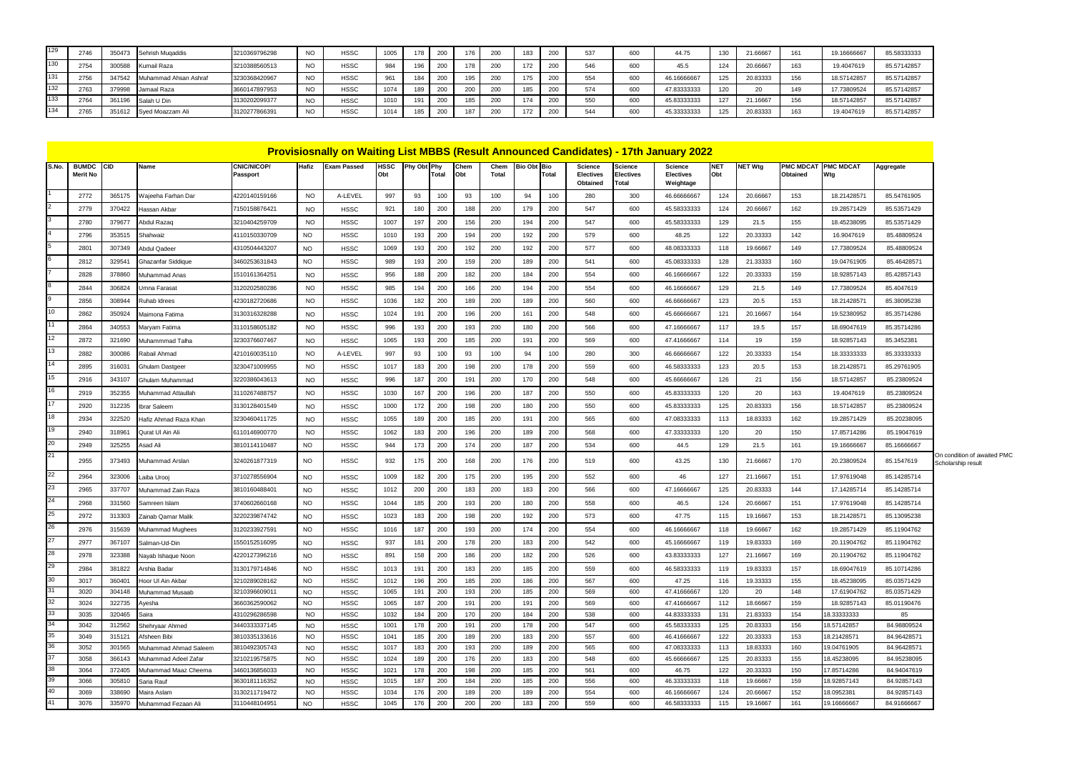| 129 | 2746 | 350473 | Sehrish Mugaddis        | 3210369796298 | <b>NO</b> | <b>HSSC</b> | 1005 |     | 176 | 200 | 000 | 537        | 600 | 44.75       | 130 | 21.66667 |     | 19.16666667 | 85.58333333 |
|-----|------|--------|-------------------------|---------------|-----------|-------------|------|-----|-----|-----|-----|------------|-----|-------------|-----|----------|-----|-------------|-------------|
| 130 | 275  | 300588 | Kumail Raza             | 3210388560513 | <b>NO</b> | <b>HSSC</b> | 984  | 196 | 178 | 200 | 200 | <b>546</b> | 600 | 45.5        | 124 | 20.6666  | 163 | (9.4047619) | 85.57142857 |
| 131 | 2756 | 347542 | Muhammad Ahsan Ashraf   | 3230368420967 | <b>NO</b> | <b>HSSC</b> | 961  |     | 195 | 200 | 200 | 554        | 600 | 46.1666666  | 125 | 20.83333 |     | 18.57142857 | 85.57142857 |
| 132 | 2763 |        | 379998 Jamaal Raza      | 3660147897953 | <b>NO</b> | <b>HSSC</b> | 1074 | 189 | 200 | 200 | 200 | 574        | 600 | 47.83333333 | 120 | $\sim$   | 149 | 17.73809524 | 85.57142857 |
| 133 | 2764 |        | 361196 Salah U Din      | 3130202099377 | <b>NO</b> | <b>HSSC</b> | 1010 |     | 185 | 200 | 200 | 550        | 600 | 45.83333333 | 127 | 21.1666  |     | 18.57142857 | 85.57142857 |
| 134 | 2765 |        | 351612 Syed Moazzam Ali | 3120277866391 | <b>NO</b> | <b>HSSC</b> | 1014 |     | 187 | 200 | 200 | 544        | 600 | 45.33333333 | 125 | 20.83333 | 163 | 19.4047619  | 85.57142857 |

|       | <b>Provisiosnally on Waiting List MBBS (Result Announced Candidates) - 17th January 2022</b><br><b>BUMDC</b><br>CID<br>Name<br>Hafiz<br><b>Exam Passed</b><br>Phy Obt Phy<br>Chem |                  |                                       |                                |                        |                            |                    |            |              |             |            |                    |            |                                                |                                             |                                                 |                   |                      |                              |                            |                            |
|-------|-----------------------------------------------------------------------------------------------------------------------------------------------------------------------------------|------------------|---------------------------------------|--------------------------------|------------------------|----------------------------|--------------------|------------|--------------|-------------|------------|--------------------|------------|------------------------------------------------|---------------------------------------------|-------------------------------------------------|-------------------|----------------------|------------------------------|----------------------------|----------------------------|
| S.No. | Merit No                                                                                                                                                                          |                  |                                       | CNIC/NICOP/<br>Passport        |                        |                            | <b>HSSC</b><br>Obt |            | <b>Total</b> | Chem<br>Obt | Total      | <b>Bio Obt Bio</b> | Total      | <b>Science</b><br><b>Electives</b><br>Obtained | <b>Science</b><br><b>Electives</b><br>Total | <b>Science</b><br><b>Electives</b><br>Weightage | <b>NET</b><br>Obt | NET Wtg              | <b>PMC MDCAT</b><br>Obtained | <b>PMC MDCAT</b><br>Wtg    | Aggregate                  |
|       | 2772                                                                                                                                                                              | 365175           | Wajeeha Farhan Dar                    | 4220140159166                  | <b>NO</b>              | A-LEVEL                    | 997                | 93         | 100          | 93          | 100        | 94                 | 100        | 280                                            | 300                                         | 46.66666667                                     | 124               | 20.66667             | 153                          | 18.21428571                | 85.54761905                |
|       | 2779                                                                                                                                                                              | 370422           | Hassan Akbar                          | 7150158876421                  | <b>NO</b>              | <b>HSSC</b>                | 921                | 180        | 200          | 188         | 200        | 179                | 200        | 547                                            | 600                                         | 45.58333333                                     | 124               | 20.66667             | 162                          | 19.28571429                | 85.53571429                |
|       | 2780                                                                                                                                                                              | 379677           | Abdul Razaq                           | 3210404259709                  | <b>NO</b>              | <b>HSSC</b>                | 1007               | 197        | 200          | 156         | 200        | 194                | 200        | 547                                            | 600                                         | 45.58333333                                     | 129               | 21.5                 | 155                          | 18.45238095                | 85.53571429                |
|       | 2796                                                                                                                                                                              | 353515           | Shahwaiz                              | 4110150330709                  | <b>NO</b>              | <b>HSSC</b>                | 1010               | 193        | 200          | 194         | 200        | 192                | 200        | 579                                            | 600                                         | 48.25                                           | 122               | 20.33333             | 142                          | 16.9047619                 | 85.48809524                |
|       | 2801                                                                                                                                                                              | 307349           | Abdul Qadeer                          | 4310504443207                  | <b>NO</b>              | <b>HSSC</b>                | 1069               | 193        | 200          | 192         | 200        | 192                | 200        | 577                                            | 600                                         | 48.08333333                                     | 118               | 19.66667             | 149                          | 17.73809524                | 85.48809524                |
|       | 2812                                                                                                                                                                              | 329541           | Ghazanfar Siddique                    | 3460253631843                  | <b>NO</b>              | <b>HSSC</b>                | 989                | 193        | 200          | 159         | 200        | 189                | 200        | 541                                            | 600                                         | 45.08333333                                     | 128               | 21.33333             | 160                          | 19.04761905                | 85.46428571                |
|       | 2828                                                                                                                                                                              | 378860           | Muhammad Anas                         | 1510161364251                  | <b>NO</b>              | <b>HSSC</b>                | 956                | 188        | 200          | 182         | 200        | 184                | 200        | 554                                            | 600                                         | 46.16666667                                     | 122               | 20.33333             | 159                          | 18.92857143                | 85.42857143                |
|       | 2844                                                                                                                                                                              | 306824           | Umna Farasat                          | 3120202580286                  | <b>NO</b>              | <b>HSSC</b>                | 985                | 194        | 200          | 166         | 200        | 194                | 200        | 554                                            | 600                                         | 46.16666667                                     | 129               | 21.5                 | 149                          | 17.73809524                | 85.4047619                 |
|       | 2856                                                                                                                                                                              | 308944           | Ruhab Idrees                          | 4230182720686                  | <b>NO</b>              | <b>HSSC</b>                | 1036               | 182        | 200          | 189         | 200        | 189                | 200        | 560                                            | 600                                         | 46.66666667                                     | 123               | 20.5                 | 153                          | 18.21428571                | 85.38095238                |
| 10    | 2862                                                                                                                                                                              | 350924           | <i>A</i> aimona Fatima                | 3130316328288                  | <b>NO</b>              | <b>HSSC</b>                | 1024               | 191        | 200          | 196         | 200        | 161                | 200        | 548                                            | 600                                         | 45.66666667                                     | 121               | 20.16667             | 164                          | 19.52380952                | 85.35714286                |
|       | 2864                                                                                                                                                                              | 340553           | Maryam Fatima                         | 3110158605182                  | <b>NO</b>              | <b>HSSC</b>                | 996                | 193        | 200          | 193         | 200        | 180                | 200        | 566                                            | 600                                         | 47.16666667                                     | 117               | 19.5                 | 157                          | 18.69047619                | 85.35714286                |
| 12    | 2872                                                                                                                                                                              | 321690           | Muhammmad Talha                       | 3230376607467                  | <b>NO</b>              | <b>HSSC</b>                | 1065               | 193        | 200          | 185         | 200        | 191                | 200        | 569                                            | 600                                         | 47.41666667                                     | 114               | 19                   | 159                          | 18.92857143                | 85.3452381                 |
| 13    | 2882                                                                                                                                                                              | 300086           | Rabail Ahmad                          | 4210160035110                  | <b>NO</b>              | A-LEVEL                    | 997                | 93         | 100          | 93          | 100        | 94                 | 100        | 280                                            | 300                                         | 46.66666667                                     | 122               | 20.33333             | 154                          | 18.33333333                | 85.33333333                |
| 14    |                                                                                                                                                                                   |                  |                                       |                                |                        |                            |                    |            |              |             |            |                    |            |                                                |                                             |                                                 |                   |                      |                              |                            |                            |
| 15    | 2895                                                                                                                                                                              | 316031           | Ghulam Dastgeer                       | 3230471009955                  | <b>NO</b>              | <b>HSSC</b>                | 1017               | 183        | 200          | 198         | 200        | 178                | 200        | 559                                            | 600                                         | 46.58333333                                     | 123               | 20.5                 | 153                          | 18.21428571                | 85.29761905                |
| 16    | 2916                                                                                                                                                                              | 343107           | Ghulam Muhammad                       | 3220386043613                  | <b>NO</b>              | <b>HSSC</b>                | 996                | 187        | 200          | 191         | 200        | 170                | 200        | 548                                            | 600                                         | 45.66666667                                     | 126               | 21                   | 156                          | 18.57142857                | 85.23809524                |
| 17    | 2919                                                                                                                                                                              | 352355           | Muhammad Attaullah                    | 3110267488757                  | <b>NO</b>              | <b>HSSC</b>                | 1030               | 167        | 200          | 196         | 200        | 187                | 200        | 550                                            | 600                                         | 45.83333333                                     | 120               | 20                   | 163                          | 19.4047619                 | 85.23809524                |
|       | 2920                                                                                                                                                                              | 312235           | Ibrar Saleem                          | 3130128401549                  | <b>NO</b>              | <b>HSSC</b>                | 1000               | 172        | 200          | 198         | 200        | 180                | 200        | 550                                            | 600                                         | 45.83333333                                     | 125               | 20.83333             | 156                          | 18.57142857                | 85.23809524                |
| 18    | 2934                                                                                                                                                                              | 322520           | Hafiz Ahmad Raza Khan                 | 3230460411725                  | <b>NO</b>              | <b>HSSC</b>                | 1055               | 189        | 200          | 185         | 200        | 191                | 200        | 565                                            | 600                                         | 47.08333333                                     | 113               | 18.83333             | 162                          | 19.28571429                | 85.20238095                |
| 19    | 2940                                                                                                                                                                              | 318961           | Qurat UI Ain Ali                      | 6110146900770                  | <b>NO</b>              | <b>HSSC</b>                | 1062               | 183        | 200          | 196         | 200        | 189                | 200        | 568                                            | 600                                         | 47.33333333                                     | 120               | 20                   | 150                          | 17.85714286                | 85.19047619                |
| 20    | 2949                                                                                                                                                                              | 325255           | Asad Ali                              | 3810114110487                  | <b>NO</b>              | <b>HSSC</b>                | 944                | 173        | 200          | 174         | 200        | 187                | 200        | 534                                            | 600                                         | 44.5                                            | 129               | 21.5                 | 161                          | 19.16666667                | 85.16666667                |
| 21    | 2955                                                                                                                                                                              | 373493           | Muhammad Arslan                       | 3240261877319                  | N <sub>O</sub>         | <b>HSSC</b>                | 932                | 175        | 200          | 168         | 200        | 176                | 200        | 519                                            | 600                                         | 43.25                                           | 130               | 21.66667             | 170                          | 20.23809524                | 85.1547619                 |
| 22    | 2964                                                                                                                                                                              | 323006           | Laiba Urooj                           | 3710278556904                  | <b>NO</b>              | <b>HSSC</b>                | 1009               | 182        | 200          | 175         | 200        | 195                | 200        | 552                                            | 600                                         | 46                                              | 127               | 21.16667             | 151                          | 17.97619048                | 85.14285714                |
| 23    | 2965                                                                                                                                                                              | 337707           | Muhammad Zain Raza                    | 3810160488401                  | <b>NO</b>              | <b>HSSC</b>                | 1012               | 200        | 200          | 183         | 200        | 183                | 200        | 566                                            | 600                                         | 47.16666667                                     | 125               | 20.83333             | 144                          | 17.14285714                | 85.14285714                |
| 24    | 2968                                                                                                                                                                              | 331560           | Samreen Islam                         | 3740602660168                  | <b>NO</b>              | <b>HSSC</b>                | 1044               | 185        | 200          | 193         | 200        | 180                | 200        | 558                                            | 600                                         | 46.5                                            | 124               | 20.66667             | 151                          | 17.97619048                | 85.14285714                |
| 25    | 2972                                                                                                                                                                              | 313303           | Zainab Qamar Malik                    | 3220239874742                  | <b>NO</b>              | <b>HSSC</b>                | 1023               | 183        | 200          | 198         | 200        | 192                | 200        | 573                                            | 600                                         | 47.75                                           | 115               | 19.16667             | 153                          | 18.2142857                 | 85.13095238                |
| 26    | 2976                                                                                                                                                                              | 315639           | Muhammad Mughees                      | 3120233927591                  | <b>NO</b>              | <b>HSSC</b>                | 1016               | 187        | 200          | 193         | 200        | 174                | 200        | 554                                            | 600                                         | 46.16666667                                     | 118               | 19.66667             | 162                          | 19.28571429                | 85.11904762                |
| 27    | 2977                                                                                                                                                                              | 367107           | Salman-Ud-Din                         | 1550152516095                  | N <sub>O</sub>         | <b>HSSC</b>                | 937                | 181        | 200          | 178         | 200        | 183                | 200        | 542                                            | 600                                         | 45.16666667                                     | 119               | 19.83333             | 169                          | 20.11904762                | 85.11904762                |
| 28    | 2978                                                                                                                                                                              | 323388           | Nayab Ishaque Noon                    | 4220127396216                  | <b>NO</b>              | <b>HSSC</b>                | 891                | 158        | 200          | 186         | 200        | 182                | 200        | 526                                            | 600                                         | 43.83333333                                     | 127               | 21.16667             | 169                          | 20.11904762                | 85.11904762                |
| 29    | 2984                                                                                                                                                                              | 381822           | Arshia Badar                          | 3130179714846                  | <b>NO</b>              | <b>HSSC</b>                | 1013               | 191        | 200          | 183         | 200        | 185                | 200        | 559                                            | 600                                         | 46.58333333                                     | 119               | 19.83333             | 157                          | 18.69047619                | 85.10714286                |
| 30    | 3017                                                                                                                                                                              | 360401           | Hoor UI Ain Akbar                     | 3210289028162                  | <b>NO</b>              | <b>HSSC</b>                | 1012               | 196        | 200          | 185         | 200        | 186                | 200        | 567                                            | 600                                         | 47.25                                           | 116               | 19.33333             | 155                          | 18.45238095                | 85.03571429                |
| 31    | 3020                                                                                                                                                                              | 304148           | Muhammad Musaab                       | 3210396609011                  | <b>NO</b>              | <b>HSSC</b>                | 1065               | 191        | 200          | 193         | 200        | 185                | 200        | 569                                            | 600                                         | 47.41666667                                     | 120               | 20                   | 148                          | 17.61904762                | 85.03571429                |
| 32    | 3024                                                                                                                                                                              | 322735           | Ayesha                                | 3660362590062                  | <b>NO</b>              | <b>HSSC</b>                | 1065               | 187        | 200          | 191         | 200        | 191                | 200        | 569                                            | 600                                         | 47.41666667                                     | 112               | 18.66667             | 159                          | 18.92857143                | 85.01190476                |
| 33    | 3035                                                                                                                                                                              | 320465           | Saira                                 | 4310296286598                  | <b>NO</b>              | <b>HSSC</b>                | 1032               | 184        | 200          | 170         | 200        | 184                | 200        | 538                                            | 600                                         | 44.83333333                                     | 131               | 21.83333             | 154                          | 18.33333333                | 85                         |
| 35    | 3042                                                                                                                                                                              | 312562           | Shehryaar Ahmed                       | 3440333337145                  | <b>NO</b>              | <b>HSSC</b>                | 1001               | 178        | 200          | 191         | 200        | 178                | 200        | 547                                            | 600                                         | 45.58333333                                     | 125               | 20.83333             | 156                          | 18.57142857                | 84.98809524                |
| 36    | 3049<br>3052                                                                                                                                                                      | 315121<br>301565 | Afsheen Bibi<br>Muhammad Ahmad Saleem | 3810335133616<br>3810492305743 | <b>NO</b><br><b>NO</b> | <b>HSSC</b><br><b>HSSC</b> | 1041<br>1017       | 185<br>183 | 200<br>200   | 189<br>193  | 200<br>200 | 183<br>189         | 200<br>200 | 557<br>565                                     | 600<br>600                                  | 46.41666667<br>47.08333333                      | 122<br>113        | 20.33333<br>18.83333 | 153<br>160                   | 18.21428571<br>19.04761905 | 84.96428571<br>84.96428571 |
| 37    | 3058                                                                                                                                                                              | 366143           | Muhammad Adeel Zafar                  | 3210219575875                  | <b>NO</b>              | <b>HSSC</b>                | 1024               | 189        | 200          | 176         | 200        | 183                | 200        | 548                                            | 600                                         | 45.66666667                                     | 125               | 20.83333             | 155                          | 18.45238095                | 84.95238095                |
| 38    | 3064                                                                                                                                                                              | 372405           | Muhammad Maaz Cheema                  | 3460136856033                  | <b>NO</b>              | <b>HSSC</b>                | 1021               | 178        | 200          | 198         | 200        | 185                | 200        | 561                                            | 600                                         | 46.75                                           | 122               | 20.33333             | 150                          | 17.85714286                | 84.94047619                |
| 39    | 3066                                                                                                                                                                              | 305810           | Saria Rauf                            | 3630181116352                  | <b>NO</b>              | <b>HSSC</b>                | 1015               | 187        | 200          | 184         | 200        | 185                | 200        | 556                                            | 600                                         | 46.33333333                                     | 118               | 19.66667             | 159                          | 18.92857143                | 84.92857143                |
| 40    | 3069                                                                                                                                                                              | 338690           | Maira Aslam                           | 3130211719472                  | NO                     | <b>HSSC</b>                | 1034               | 176        | 200          | 189         | 200        | 189                | 200        | 554                                            | 600                                         | 46.16666667                                     | 124               | 20.66667             | 152                          | 18.0952381                 | 84.92857143                |
| 41    | 3076                                                                                                                                                                              | 335970           | Muhammad Fezaan Ali                   | 3110448104951                  | <b>NO</b>              | <b>HSSC</b>                | 1045               | 176        | 200          | 200         | 200        | 183                | 200        | 559                                            | 600                                         | 46.58333333                                     | 115               | 19.16667             | 161                          | 19.16666667                | 84.91666667                |

condition of awaited PMC Scholarship result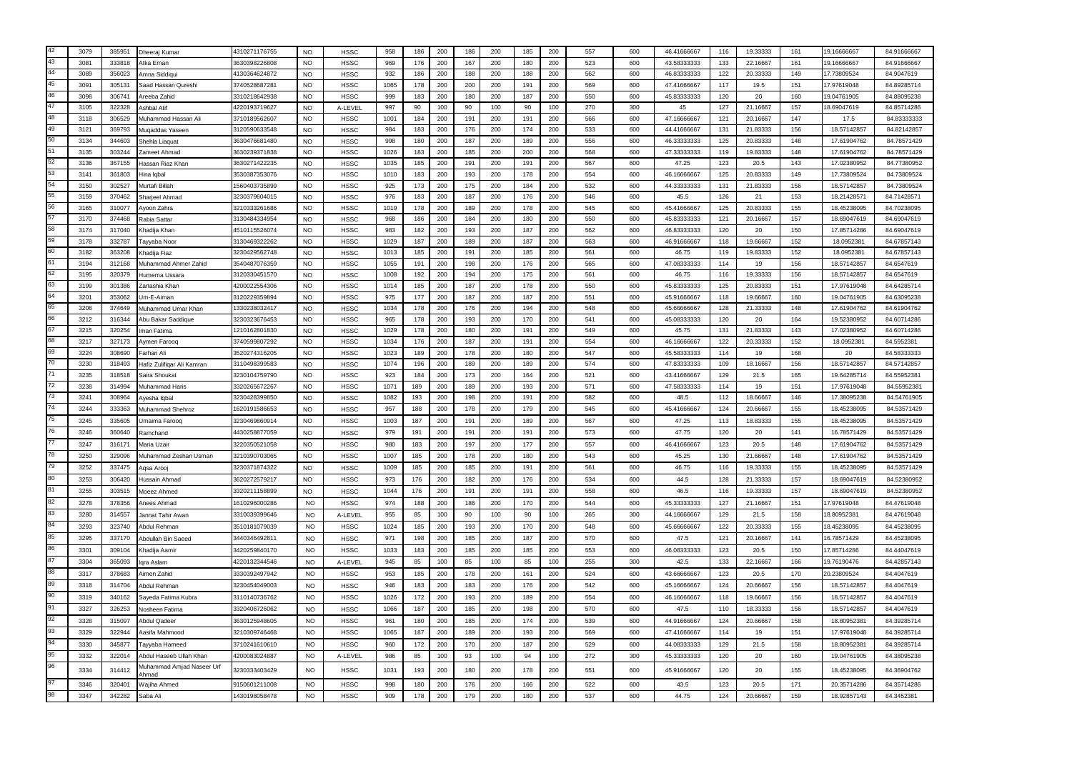|           | 3079 | 385951 | Dheerai Kumar                      | 4310271176755 | <b>NO</b>      | <b>HSSC</b>                | 958  | 186 | 200 | 186 | 200 | 185 | 200 | 557 | 600 | 46.41666667 | 116             | 19.33333 | 161 | 19.16666667 | 84.91666667 |
|-----------|------|--------|------------------------------------|---------------|----------------|----------------------------|------|-----|-----|-----|-----|-----|-----|-----|-----|-------------|-----------------|----------|-----|-------------|-------------|
|           | 3081 | 333818 | Atka Eman                          | 3630398226808 | <b>NO</b>      | <b>HSSC</b>                | 969  | 176 | 200 | 167 | 200 | 180 | 200 | 523 | 600 | 43.58333333 | 133             | 22.16667 | 161 | 19.16666667 | 84.91666667 |
| $\Lambda$ | 3089 | 356023 | Amna Siddigu                       | 4130364624872 | <b>NO</b>      | <b>HSSC</b>                | 932  | 186 | 200 | 188 | 200 | 188 | 200 | 562 | 600 | 46.83333333 | 122             | 20.33333 | 149 | 17.73809524 | 84.9047619  |
|           | 3091 | 305131 | Saad Hassan Qureshi                | 3740528687281 | <b>NO</b>      | <b>HSSC</b>                | 1065 | 178 | 200 | 200 | 200 | 191 | 200 | 569 | 600 | 47.41666667 | 117             | 19.5     | 151 | 17.97619048 | 84.89285714 |
| 46        | 3098 | 306741 | <b>Areeba Zahid</b>                | 3310218642938 | <b>NO</b>      | <b>HSSC</b>                | 999  | 183 | 200 | 180 | 200 | 187 | 200 | 550 | 600 | 45.83333333 | 120             | 20       | 160 | 9.04761905  | 84.88095238 |
|           | 3105 | 322328 | Ashbal Atif                        | 4220193719627 | <b>NO</b>      | A-LEVEL                    | 997  | 90  | 100 | 90  | 100 | 90  | 100 | 270 | 300 | 45          | 127             | 21.16667 | 157 | 8.69047619  | 84.85714286 |
| 48        | 3118 | 306529 | Muhammad Hassan Ali                | 3710189562607 | <b>NO</b>      | <b>HSSC</b>                | 1001 | 184 | 200 | 191 | 200 | 191 | 200 | 566 | 600 | 47.16666667 | 121             | 20.16667 | 147 | 17.5        | 84.83333333 |
|           | 3121 | 369793 | Mugaddas Yaseer                    | 3120590633548 | <b>NO</b>      | <b>HSSC</b>                | 984  | 183 | 200 | 176 | 200 | 174 | 200 | 533 | 600 | 44.41666667 | 131             | 21.83333 | 156 | 18.57142857 | 84.82142857 |
|           | 3134 | 344603 | Shehla Liaguat                     | 3630476681480 | NO             | <b>HSSC</b>                | 998  | 180 | 200 | 187 | 200 | 189 | 200 | 556 | 600 | 46.33333333 | 125             | 20.83333 | 148 | 17.61904762 | 84.78571429 |
|           | 3135 | 303244 | Zameet Ahmad                       | 3630239371838 | <b>NO</b>      | <b>HSSC</b>                | 1026 | 183 | 200 | 185 | 200 | 200 | 200 | 568 | 600 | 47.33333333 | 119             | 19.83333 | 148 | 17.61904762 | 84.78571429 |
|           | 3136 | 367155 | Hassan Riaz Khan                   | 3630271422235 | <b>NO</b>      | <b>HSSC</b>                | 1035 | 185 | 200 | 191 | 200 | 191 | 200 | 567 | 600 | 47.25       | 123             | 20.5     | 143 | 17.02380952 | 84.77380952 |
|           | 3141 | 361803 | Hina lobal                         | 3530387353076 | <b>NO</b>      | <b>HSSC</b>                | 1010 | 183 | 200 | 193 | 200 | 178 | 200 | 554 | 600 | 46.16666667 | 125             | 20.83333 | 149 | 17.73809524 | 84.73809524 |
|           | 3150 | 302527 | Murtafi Billah                     | 560403735899  | <b>NO</b>      | <b>HSSC</b>                | 925  | 173 | 200 | 175 | 200 | 184 | 200 | 532 | 600 | 44.33333333 | 131             | 21.83333 | 156 | 18.57142857 | 84.73809524 |
|           | 3159 | 370462 | Sharieel Ahmac                     | 3230379604015 | <b>NO</b>      | <b>HSSC</b>                | 976  | 183 | 200 | 187 | 200 | 176 | 200 | 546 | 600 | 45.5        | 126             | 21       | 153 | 18.21428571 | 84.71428571 |
|           | 3165 | 310077 | Avoon Zahra                        | 3210333261686 | N <sub>O</sub> | <b>HSSC</b>                | 1019 | 178 | 200 | 189 | 200 | 178 | 200 | 545 | 600 | 45.41666667 | 125             | 20.83333 | 155 | 18.45238095 | 84.70238095 |
|           | 3170 | 374468 | Rabia Satta                        | 3130484334954 | <b>NO</b>      | <b>HSSC</b>                | 968  | 186 | 200 | 184 | 200 | 180 | 200 | 550 | 600 | 45.83333333 | 121             | 20.16667 | 157 | 18.69047619 | 84.69047619 |
|           | 3174 | 317040 | Khadija Khan                       | 4510115526074 | <b>NO</b>      | <b>HSSC</b>                | 983  | 182 | 200 | 193 | 200 | 187 | 200 | 562 | 600 | 46.83333333 | 120             | -20      | 150 | 17.85714286 | 84.69047619 |
|           | 3178 | 332787 | Tayyaba Noor                       | 3130469322262 | <b>NO</b>      | <b>HSSC</b>                | 1029 | 187 | 200 | 189 | 200 | 187 | 200 | 563 | 600 | 46.91666667 | 118             | 19.66667 | 152 | 18.0952381  | 84.67857143 |
|           | 3182 | 363208 | Khadiia Fiaz                       | 3230429562748 | NO             | <b>HSSC</b>                | 1013 | 185 | 200 | 191 | 200 | 185 | 200 | 561 | 600 | 46.75       | 119             | 19.83333 | 152 | 18.0952381  | 84.67857143 |
|           | 3194 | 312168 | Muhammad Ahmer Zahid               | 3540487076359 | <b>NO</b>      | <b>HSSC</b>                | 1055 | 191 | 200 | 198 | 200 | 176 | 200 | 565 | 600 | 47.08333333 | 114             | 19       | 156 | 18.57142857 | 84.6547619  |
|           | 3195 | 320379 | Humema Ussara                      | 3120330451570 | <b>NO</b>      | <b>HSSC</b>                | 1008 | 192 | 200 | 194 | 200 | 175 | 200 | 561 | 600 | 46.75       | 116             | 19.33333 | 156 | 18.57142857 | 84.6547619  |
|           | 3199 | 301386 | Zartashia Khan                     | 4200022554306 | <b>NO</b>      | <b>HSSC</b>                | 1014 | 185 | 200 | 187 | 200 | 178 | 200 | 550 | 600 | 45.83333333 | 125             | 20.83333 | 151 | 17.97619048 | 84.64285714 |
|           | 3201 | 353062 | Jm-E-Aiman                         | 3120229359894 | <b>NO</b>      | <b>HSSC</b>                | 975  | 177 | 200 | 187 | 200 | 187 | 200 | 551 | 600 | 45.91666667 | 118             | 19.66667 | 160 | 19.04761905 | 84.63095238 |
|           | 3208 | 374649 | Muhammad Umar Khan                 | 1330238032417 | <b>NO</b>      | <b>HSSC</b>                | 1034 | 178 | 200 | 176 | 200 | 194 | 200 | 548 | 600 | 45.66666667 | 128             | 21.33333 | 148 | 17.61904762 | 84.61904762 |
|           | 3212 | 316344 | Abu Bakar Saddigue                 | 3230323676453 | <b>NO</b>      | <b>HSSC</b>                | 965  | 178 | 200 | 193 | 200 | 170 | 200 | 541 | 600 | 45.08333333 | 120             | 20       | 164 | 19.52380952 | 84.60714286 |
|           | 3215 | 320254 | Iman Fatima                        | 1210162801830 | <b>NO</b>      | <b>HSSC</b>                | 1029 | 178 | 200 | 180 | 200 | 191 | 200 | 549 | 600 | 45.75       | 131             | 21.83333 | 143 | 17.02380952 | 84.60714286 |
|           | 3217 | 327173 | Aymen Faroog                       | 3740599807292 | <b>NO</b>      | <b>HSSC</b>                | 1034 | 176 | 200 | 187 | 200 | 191 | 200 | 554 | 600 | 46.16666667 | 122             | 20.33333 | 152 | 18.0952381  | 84.5952381  |
|           | 3224 | 308690 | Farhan Ali                         | 3520274316205 | <b>NO</b>      | <b>HSSC</b>                | 1023 | 189 | 200 | 178 | 200 | 180 | 200 | 547 | 600 | 45.58333333 | 114             | 19       | 168 | 20          | 84.58333333 |
|           | 3230 | 318493 | -lafiz Zulifiqar Ali Kamrar        | 3110498399583 | <b>NO</b>      | <b>HSSC</b>                | 1074 | 196 | 200 | 189 | 200 | 189 | 200 | 574 | 600 | 47.83333333 | 10 <sub>s</sub> | 18,16667 | 156 | 18.57142857 | 84.57142857 |
|           | 3235 | 318518 | Saira Shoukat                      | 3230104759790 | <b>NO</b>      | <b>HSSC</b>                | 923  | 184 | 200 | 173 | 200 | 164 | 200 | 521 | 600 | 43.41666667 | 129             | 21.5     | 165 | 19.64285714 | 84.55952381 |
|           | 3238 | 314994 | Muhammad Haris                     | 3320265672267 | <b>NO</b>      | <b>HSSC</b>                | 1071 | 189 | 200 | 189 | 200 | 193 | 200 | 571 | 600 | 47.58333333 | 114             | 19       | 151 | 17.97619048 | 84.55952381 |
|           | 3241 | 308964 | Avesha lobal                       | 3230428399850 | <b>NO</b>      | <b>HSSC</b>                | 1082 | 193 | 200 | 198 | 200 | 191 | 200 | 582 | 600 | 48.5        | 112             | 18.66667 | 146 | 17.38095238 | 84.54761905 |
|           | 3244 | 333363 |                                    | 1620191586653 | <b>NO</b>      |                            | 957  | 188 | 200 | 178 | 200 | 179 | 200 | 545 | 600 | 45.41666667 | 124             | 20.66667 | 155 | 18.45238095 | 84.53571429 |
|           | 3245 | 335605 | Muhammad Shehroz                   | 3230469860914 | <b>NO</b>      | <b>HSSC</b><br><b>HSSC</b> | 1003 |     |     |     |     | 189 | 200 | 567 | 600 | 47.25       |                 | 18.83333 | 155 | 18.45238095 | 84.53571429 |
|           |      |        | Umaima Farooq                      |               |                |                            |      | 187 | 200 | 191 | 200 |     |     |     |     |             | 113             |          |     |             |             |
|           | 3246 | 360640 | Ramchand                           | 4430258877059 | <b>NO</b>      | <b>HSSC</b>                | 979  | 191 | 200 | 191 | 200 | 191 | 200 | 573 | 600 | 47.75       | 120             | 20       | 141 | 16.78571429 | 84.53571429 |
|           | 3247 | 316171 | Maria Uzair                        | 3220350521058 | <b>NO</b>      | <b>HSSC</b>                | 980  | 183 | 200 | 197 | 200 | 177 | 200 | 557 | 600 | 46.41666667 | 123             | 20.5     | 148 | 17.61904762 | 84.53571429 |
|           | 3250 | 329096 | Muhammad Zeshan Usman              | 3210390703065 | <b>NO</b>      | <b>HSSC</b>                | 1007 | 185 | 200 | 178 | 200 | 180 | 200 | 543 | 600 | 45.25       | 130             | 21.66667 | 148 | 17.61904762 | 84.53571429 |
|           | 3252 | 337475 | Agsa Aroo                          | 3230371874322 | <b>NO</b>      | <b>HSSC</b>                | 1009 | 185 | 200 | 185 | 200 | 191 | 200 | 561 | 600 | 46.75       | 116             | 19.33333 | 155 | 18.45238095 | 84.53571429 |
|           | 3253 | 306420 | Hussain Ahmad                      | 3620272579217 | <b>NO</b>      | <b>HSSC</b>                | 973  | 176 | 200 | 182 | 200 | 176 | 200 | 534 | 600 | 44.5        | 128             | 21.33333 | 157 | 18.69047619 | 84.52380952 |
|           | 3255 | 303515 | Moeez Ahmed                        | 3320211158899 | <b>NO</b>      | <b>HSSC</b>                | 1044 | 176 | 200 | 191 | 200 | 191 | 200 | 558 | 600 | 46.5        | 116             | 19.33333 | 157 | 18.69047619 | 84.52380952 |
|           | 3278 | 378356 | Anees Ahmad                        | 1610296000286 | N <sub>O</sub> | <b>HSSC</b>                | 974  | 188 | 200 | 186 | 200 | 170 | 200 | 544 | 600 | 45.33333333 | 127             | 21.16667 | 151 | 17.97619048 | 84.47619048 |
|           | 3280 | 314557 | Jannat Tahir Awan                  | 3310039399646 | <b>NO</b>      | A-LEVEL                    | 955  | 85  | 100 | 90  | 100 | 90  | 100 | 265 | 300 | 44.16666667 | 129             | 21.5     | 158 | 8.80952381  | 84.47619048 |
|           | 3293 | 323740 | Abdul Rehmar                       | 3510181079039 | <b>NO</b>      | <b>HSSC</b>                | 1024 | 185 | 200 | 193 | 200 | 170 | 200 | 548 | 600 | 45.66666667 | 122             | 20.33333 | 155 | 8.45238095  | 84.45238095 |
|           | 3295 | 337170 | Abdullah Bin Saeed                 | 3440346492811 | NO             | <b>HSSC</b>                | 971  | 198 | 200 | 185 | 200 | 187 | 200 | 570 | 600 | 47.5        | 121             | 20.16667 | 141 | 6.78571429  | 84.45238095 |
|           | 3301 | 309104 | Khadiia Aamir                      | 3420259840170 | <b>NO</b>      | <b>HSSC</b>                | 1033 | 183 | 200 | 185 | 200 | 185 | 200 | 553 | 600 | 46.08333333 | 123             | 20.5     | 150 | 17.85714286 | 84.44047619 |
|           | 3304 | 365093 | qra Aslam                          | 4220132344546 | <b>NO</b>      | A-LEVEL                    | 945  | 85  | 100 | 85  | 100 | 85  | 100 | 255 | 300 | 42.5        | 133             | 22.16667 | 166 | 19.76190476 | 84.42857143 |
|           | 3317 | 378683 | Aimen Zahid                        | 3330392497942 | <b>NO</b>      | <b>HSSC</b>                | 953  | 185 | 200 | 178 | 200 | 161 | 200 | 524 | 600 | 43.66666667 | 123             | 20.5     | 170 | 20.23809524 | 84.4047619  |
|           | 3318 | 314704 | Abdul Rehman                       | 3230454049003 | <b>NO</b>      | <b>HSSC</b>                | 946  | 183 | 200 | 183 | 200 | 176 | 200 | 542 | 600 | 45.16666667 | 124             | 20.66667 | 156 | 18.57142857 | 84.4047619  |
|           |      |        |                                    |               |                |                            |      |     |     |     |     |     |     |     |     |             |                 |          |     |             |             |
|           | 3319 | 340162 | Saveda Fatima Kubra                | 3110140736762 | NO             | <b>HSSC</b>                | 1026 | 172 | 200 | 193 | 200 | 189 | 200 | 554 | 600 | 46.16666667 | 118             | 19.66667 | 156 | 18.57142857 | 84.4047619  |
|           | 3327 | 326253 | <b>Vosheen Fatima</b>              | 3320406726062 | <b>NO</b>      | <b>HSSC</b>                | 1066 | 187 | 200 | 185 | 200 | 198 | 200 | 570 | 600 | 47.5        | 110             | 18.33333 | 156 | 18.57142857 | 84.4047619  |
|           | 3328 | 315097 | Abdul Qadeer                       | 3630125948605 | NO.            | <b>HSSC</b>                | 961  | 180 | 200 | 185 | 200 | 174 | 200 | 539 | 600 | 44.91666667 | 124             | 20.66667 | 158 | 18.80952381 | 84 39285714 |
|           | 3329 | 322944 | Aasifa Mahmood                     | 3210309746468 | NO             | <b>HSSC</b>                | 1065 | 187 | 200 | 189 | 200 | 193 | 200 | 569 | 600 | 47.41666667 | 114             | 19       | 151 | 17.97619048 | 84.39285714 |
|           | 3330 | 345877 | Tavvaba Hameed                     | 3710241610610 | <b>NO</b>      | <b>HSSC</b>                | 960  | 172 | 200 | 170 | 200 | 187 | 200 | 529 | 600 | 44.08333333 | 129             | 21.5     | 158 | 18.80952381 | 84.39285714 |
|           | 3332 | 322014 | Abdul Haseeb Ullah Khan            | 4200083024887 | <b>NO</b>      | A-LEVEL                    | 986  | 85  | 100 | 93  | 100 | 94  | 100 | 272 | 300 | 45.33333333 | 120             | 20       | 160 | 19.04761905 | 84.38095238 |
|           | 3334 | 314412 | Muhammad Amjad Naseer Urf<br>Ahmad | 3230333403429 | N <sub>O</sub> | <b>HSSC</b>                | 103' | 193 | 200 | 180 | 200 | 178 | 200 | 551 | 600 | 45.91666667 | 120             | 20       | 155 | 18.45238095 | 84.36904762 |
|           | 3346 | 320401 | Waiiha Ahmed                       | 9150601211008 | NO.            | <b>HSSC</b>                | 998  | 180 | 200 | 176 | 200 | 166 | 200 | 522 | 600 | 43.5        | 123             | 20.5     | 171 | 20.35714286 | 84.35714286 |
|           | 3347 | 342282 |                                    | 1430198058478 |                |                            | 909  | 178 | 200 |     |     | 180 |     | 537 | 600 | 44.75       |                 | 20.66667 | 159 |             | 84.3452381  |
|           |      |        | Saba Ali                           |               | <b>NO</b>      | <b>HSSC</b>                |      |     |     | 179 | 200 |     | 200 |     |     |             | 124             |          |     | 18.92857143 |             |